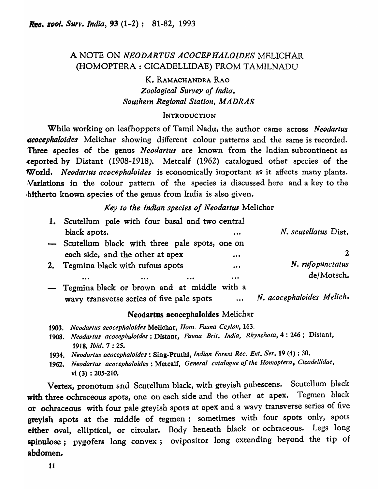# A NOTE ON *NEODARTUS ACOCEP HALOIDES* MELICHAR (HOMOPTERA: CICADELLIDAE) FROM TAMILNADU

# K. RAMACHANDRA RAO *Zoological Survey of India, Southern Regional Station, MADRAS*

## **INTRODUCTION**

While working on leafhoppers of Tamil Nadu, the author came across *Neodartus acocephaloides* Melichar showing different colour patterns and the same is recorded. Three species of the genus *Neodartus* are known from the Indian subcontinent as ~reported by Distant (1908-1918). Metcalf (1962) catalogued other species of the World. *Neodartus acocephaloides* is economically important as it affects many plants. ,Variations in the colour pattern of the species is discussed here and a key to the lhitherto known species of the genus from India is also given.

# *Key to the Indian species of Neodartus* Melichar

|    | 1. Scutellum pale with four basal and two central             |                           |
|----|---------------------------------------------------------------|---------------------------|
|    | black spots.<br>                                              | N. scutellatus Dist.      |
|    | - Scutellum black with three pale spots, one on               |                           |
|    | each side, and the other at apex<br>$\bullet \bullet \bullet$ |                           |
| 2. | Tegmina black with rufous spots<br>$\bullet\bullet\bullet$    | N. rufopunctatus          |
|    | $\bullet\bullet\bullet$<br>                                   | de/Motsch.                |
|    | - Tegmina black or brown and at middle with a                 |                           |
|    | wavy transverse series of five pale spots<br>$\cdots$         | N. acocephaloides Melich. |

## Neodartus acocepbaloides Melichar

- 1903. Neodartus acocephaloides Melichar, *Hom. Fauna Ceylon*, 163.
- *1908. Neodartus acocephaloides;* Distant, *Fauna Brit. India, Rhynchota,4:* 246; Distant, *1918, Ibid.* 7 : 25.
- 1934. Neodartus acocephaloides : Sing-Pruthi, *Indian Forest Rec. Ent. Ser.* 19 (4) : 30.
- *1962. Neodartus acocephaloides:* Metcalf, *General cata/oglle of the Hornoptera, Cicadellidae,*  vi (3) : 205-210.

Vertex, pronotum and Scutellum black, with greyish pubescens. Scutellum black with three ochraceous spots, one on each side and the other at apex. Tegmen black or ochraceous with four pale greyish spots at apex and a wavy transverse series of five greyish spots at the middle of tegmen; sometimes with four spots only, spots either oval, elliptical, or circular. Body beneath black or ochraceous. Legs long spinulose; pygofers long convex; ovipositor long extending beyond the tip of abdomen.